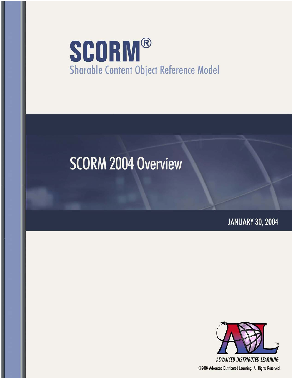# **SCORM® Sharable Content Object Reference Model**

# **SCORM 2004 Overview**

**JANUARY 30, 2004** 



©2004 Advanced Distributed Learning. All Rights Reserved.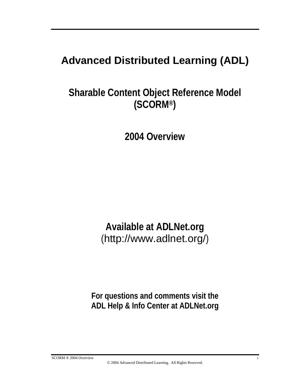# **Advanced Distributed Learning (ADL)**

**Sharable Content Object Reference Model (SCORM®)**

**2004 Overview** 

**Available at ADLNet.org**  (http://www.adlnet.org/)

**For questions and comments visit the ADL Help & Info Center at ADLNet.org** 

SCORM ® 2004 Overview i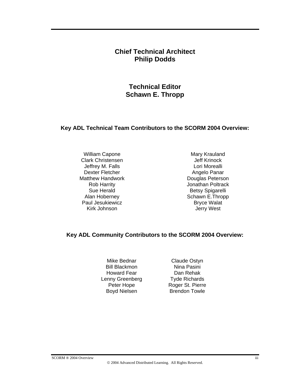#### **Chief Technical Architect Philip Dodds**

**Technical Editor Schawn E. Thropp** 

#### **Key ADL Technical Team Contributors to the SCORM 2004 Overview:**

William Capone **Mary Krauland** Clark Christensen<br>
Jeff Krinock<br>
Lori Morealli Jeffrey M. Falls Dexter Fletcher Angelo Panar Matthew Handwork **Douglas Peterson** Paul Jesukiewicz **Bryce Walat** Kirk Johnson **Jerry West** 

Rob Harrity Jonathan Poltrack Sue Herald Betsy Spigarelli Alan Hoberney **Schawn E.Thropp** 

#### **Key ADL Community Contributors to the SCORM 2004 Overview:**

Mike Bednar Claude Ostyn Bill Blackmon Nina Pasini Howard Fear **Dan Rehak** Lenny Greenberg Tyde Richards

Peter Hope Roger St. Pierre Boyd Nielsen Brendon Towle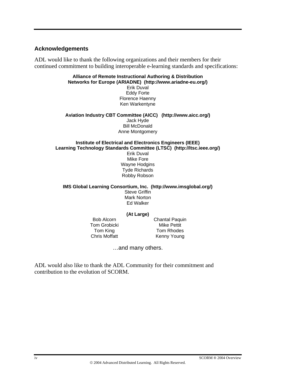#### **Acknowledgements**

ADL would like to thank the following organizations and their members for their continued commitment to building interoperable e-learning standards and specifications:

#### **Alliance of Remote Instructional Authoring & Distribution Networks for Europe (ARIADNE) (http://www.ariadne-eu.org/)**

Erik Duval Eddy Forte Florence Haenny Ken Warkentyne

#### **Aviation Industry CBT Committee (AICC) (http://www.aicc.org/)**  Jack Hyde Bill McDonald Anne Montgomery

#### **Institute of Electrical and Electronics Engineers (IEEE) Learning Technology Standards Committee (LTSC) (http://ltsc.ieee.org/)**

Erik Duval Mike Fore Wayne Hodgins Tyde Richards Robby Robson

**IMS Global Learning Consortium, Inc. (http://www.imsglobal.org/)** Steve Griffin Mark Norton Ed Walker

#### **(At Large)**

Tom Grobicki Mike Pettit

Bob Alcorn Chantal Paquin Tom King Tom Rhodes Chris Moffatt Kenny Young

…and many others.

ADL would also like to thank the ADL Community for their commitment and contribution to the evolution of SCORM.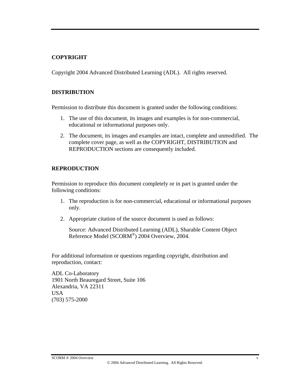#### **COPYRIGHT**

Copyright 2004 Advanced Distributed Learning (ADL). All rights reserved.

#### **DISTRIBUTION**

Permission to distribute this document is granted under the following conditions:

- 1. The use of this document, its images and examples is for non-commercial, educational or informational purposes only.
- 2. The document, its images and examples are intact, complete and unmodified. The complete cover page, as well as the COPYRIGHT, DISTRIBUTION and REPRODUCTION sections are consequently included.

#### **REPRODUCTION**

Permission to reproduce this document completely or in part is granted under the following conditions:

- 1. The reproduction is for non-commercial, educational or informational purposes only.
- 2. Appropriate citation of the source document is used as follows:

Source: Advanced Distributed Learning (ADL), Sharable Content Object Reference Model (SCORM®) 2004 Overview, 2004.

For additional information or questions regarding copyright, distribution and reproduction, contact:

ADL Co-Laboratory 1901 North Beauregard Street, Suite 106 Alexandria, VA 22311 USA (703) 575-2000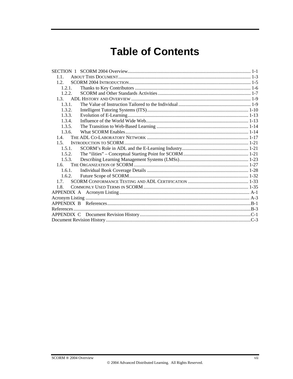# **Table of Contents**

| 1.1.   |  |
|--------|--|
| 1.2.   |  |
| 1.2.1. |  |
| 1.2.2. |  |
|        |  |
| 1.3.1. |  |
| 1.3.2. |  |
| 1.3.3. |  |
| 1.3.4. |  |
| 1.3.5. |  |
| 1.3.6. |  |
| 1.4    |  |
| 1.5.   |  |
| 1.5.1. |  |
| 1.5.2. |  |
| 1.5.3. |  |
| 1.6.   |  |
| 1.6.1. |  |
| 1.6.2. |  |
| 17     |  |
| 1.8.   |  |
|        |  |
|        |  |
|        |  |
|        |  |
|        |  |
|        |  |
|        |  |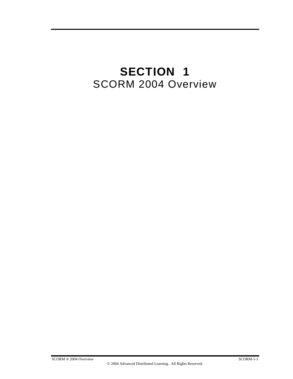# **SECTION 1**  SCORM 2004 Overview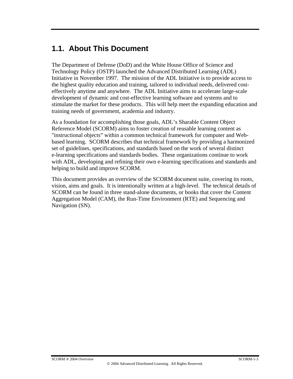## **1.1. About This Document**

The Department of Defense (DoD) and the White House Office of Science and Technology Policy (OSTP) launched the Advanced Distributed Learning (ADL) Initiative in November 1997. The mission of the ADL Initiative is to provide access to the highest quality education and training, tailored to individual needs, delivered costeffectively anytime and anywhere. The ADL Initiative aims to accelerate large-scale development of dynamic and cost-effective learning software and systems and to stimulate the market for these products. This will help meet the expanding education and training needs of government, academia and industry.

As a foundation for accomplishing those goals, ADL's Sharable Content Object Reference Model (SCORM) aims to foster creation of reusable learning content as "instructional objects" within a common technical framework for computer and Webbased learning. SCORM describes that technical framework by providing a harmonized set of guidelines, specifications, and standards based on the work of several distinct e-learning specifications and standards bodies. These organizations continue to work with ADL, developing and refining their own e-learning specifications and standards and helping to build and improve SCORM.

This document provides an overview of the SCORM document suite, covering its roots, vision, aims and goals. It is intentionally written at a high-level. The technical details of SCORM can be found in three stand-alone documents, or books that cover the Content Aggregation Model (CAM), the Run-Time Environment (RTE) and Sequencing and Navigation (SN).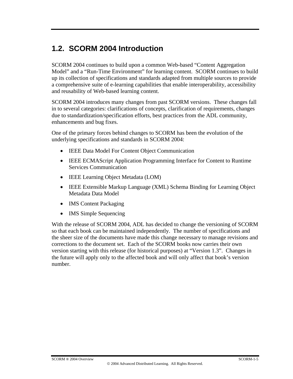# **1.2. SCORM 2004 Introduction**

SCORM 2004 continues to build upon a common Web-based "Content Aggregation Model" and a "Run-Time Environment" for learning content. SCORM continues to build up its collection of specifications and standards adapted from multiple sources to provide a comprehensive suite of e-learning capabilities that enable interoperability, accessibility and reusability of Web-based learning content.

SCORM 2004 introduces many changes from past SCORM versions. These changes fall in to several categories: clarifications of concepts, clarification of requirements, changes due to standardization/specification efforts, best practices from the ADL community, enhancements and bug fixes.

One of the primary forces behind changes to SCORM has been the evolution of the underlying specifications and standards in SCORM 2004:

- IEEE Data Model For Content Object Communication
- IEEE ECMAScript Application Programming Interface for Content to Runtime Services Communication
- **IEEE Learning Object Metadata (LOM)**
- IEEE Extensible Markup Language (XML) Schema Binding for Learning Object Metadata Data Model
- IMS Content Packaging
- IMS Simple Sequencing

With the release of SCORM 2004, ADL has decided to change the versioning of SCORM so that each book can be maintained independently. The number of specifications and the sheer size of the documents have made this change necessary to manage revisions and corrections to the document set. Each of the SCORM books now carries their own version starting with this release (for historical purposes) at "Version 1.3". Changes in the future will apply only to the affected book and will only affect that book's version number.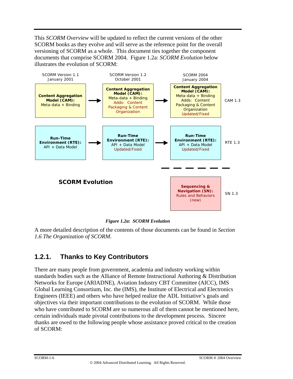This *SCORM Overview* will be updated to reflect the current versions of the other SCORM books as they evolve and will serve as the reference point for the overall versioning of SCORM as a whole. This document ties together the component documents that comprise SCORM 2004. Figure 1.2a: *SCORM Evolution* below illustrates the evolution of SCORM:



*Figure 1.2a: SCORM Evolution* 

A more detailed description of the contents of those documents can be found in *Section 1.6 The Organization of SCORM*.

### **1.2.1. Thanks to Key Contributors**

There are many people from government, academia and industry working within standards bodies such as the Alliance of Remote Instructional Authoring & Distribution Networks for Europe (ARIADNE), Aviation Industry CBT Committee (AICC), IMS Global Learning Consortium, Inc. the (IMS), the Institute of Electrical and Electronics Engineers (IEEE) and others who have helped realize the ADL Initiative's goals and objectives via their important contributions to the evolution of SCORM. While those who have contributed to SCORM are so numerous all of them cannot be mentioned here, certain individuals made pivotal contributions to the development process. Sincere thanks are owed to the following people whose assistance proved critical to the creation of SCORM: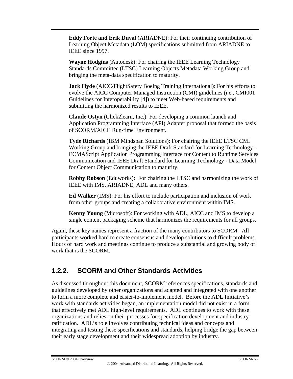**Eddy Forte and Erik Duval** (ARIADNE): For their continuing contribution of Learning Object Metadata (LOM) specifications submitted from ARIADNE to IEEE since 1997.

**Wayne Hodgins** (Autodesk): For chairing the IEEE Learning Technology Standards Committee (LTSC) Learning Objects Metadata Working Group and bringing the meta-data specification to maturity.

**Jack Hyde** (AICC/FlightSafety Boeing Training International): For his efforts to evolve the AICC Computer Managed Instruction (CMI) guidelines (i.e., CMI001 Guidelines for Interoperability [4]) to meet Web-based requirements and submitting the harmonized results to IEEE.

**Claude Ostyn** (Click2learn, Inc.): For developing a common launch and Application Programming Interface (API) Adapter proposal that formed the basis of SCORM/AICC Run-time Environment.

**Tyde Richards** (IBM Mindspan Solutions): For chairing the IEEE LTSC CMI Working Group and bringing the IEEE Draft Standard for Learning Technology - ECMAScript Application Programming Interface for Content to Runtime Services Communication and IEEE Draft Standard for Learning Technology - Data Model for Content Object Communication to maturity.

**Robby Robson** (Eduworks): For chairing the LTSC and harmonizing the work of IEEE with IMS, ARIADNE, ADL and many others.

**Ed Walker** (IMS): For his effort to include participation and inclusion of work from other groups and creating a collaborative environment within IMS.

**Kenny Young** (Microsoft): For working with ADL, AICC and IMS to develop a single content packaging scheme that harmonizes the requirements for all groups.

Again, these key names represent a fraction of the many contributors to SCORM. All participants worked hard to create consensus and develop solutions to difficult problems. Hours of hard work and meetings continue to produce a substantial and growing body of work that is the SCORM.

#### **1.2.2. SCORM and Other Standards Activities**

As discussed throughout this document, SCORM references specifications, standards and guidelines developed by other organizations and adapted and integrated with one another to form a more complete and easier-to-implement model. Before the ADL Initiative's work with standards activities began, an implementation model did not exist in a form that effectively met ADL high-level requirements. ADL continues to work with these organizations and relies on their processes for specification development and industry ratification. ADL's role involves contributing technical ideas and concepts and integrating and testing these specifications and standards, helping bridge the gap between their early stage development and their widespread adoption by industry.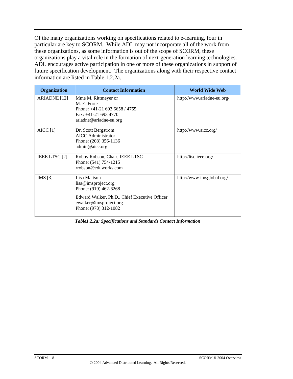Of the many organizations working on specifications related to e-learning, four in particular are key to SCORM. While ADL may not incorporate all of the work from these organizations, as some information is out of the scope of SCORM, these organizations play a vital role in the formation of next-generation learning technologies. ADL encourages active participation in one or more of these organizations in support of future specification development. The organizations along with their respective contact information are listed in Table 1.2.2a.

| <b>Organization</b> | <b>Contact Information</b>                                                                                                                                       | World Wide Web             |
|---------------------|------------------------------------------------------------------------------------------------------------------------------------------------------------------|----------------------------|
| ARIADNE [12]        | Mme M. Rittmeyer or<br>M. E. Forte<br>Phone: $+41-21$ 693 6658 / 4755<br>Fax: $+41-21$ 693 4770<br>ariadne@ariadne-eu.org                                        | http://www.ariadne-eu.org/ |
| AICC[1]             | Dr. Scott Bergstrom<br><b>AICC</b> Administrator<br>Phone: (208) 356-1136<br>admin@aicc.org                                                                      | http://www.aicc.org/       |
| IEEE LTSC [2]       | Robby Robson, Chair, IEEE LTSC<br>Phone: (541) 754-1215<br>rrobson@eduworks.com                                                                                  | http://ltsc.ieee.org/      |
| IMS $[3]$           | Lisa Mattson<br>lisa@imsproject.org<br>Phone: (919) 462-6268<br>Edward Walker, Ph.D., Chief Executive Officer<br>ewalker@imsproject.org<br>Phone: (978) 312-1082 | http://www.imsglobal.org/  |

*Table1.2.2a: Specifications and Standards Contact Information*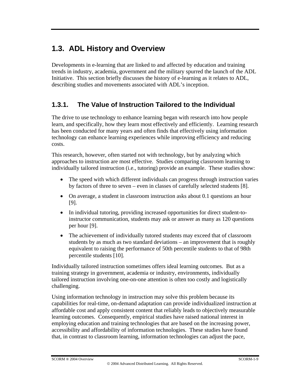# **1.3. ADL History and Overview**

Developments in e-learning that are linked to and affected by education and training trends in industry, academia, government and the military spurred the launch of the ADL Initiative. This section briefly discusses the history of e-learning as it relates to ADL, describing studies and movements associated with ADL's inception.

### **1.3.1. The Value of Instruction Tailored to the Individual**

The drive to use technology to enhance learning began with research into how people learn, and specifically, how they learn most effectively and efficiently. Learning research has been conducted for many years and often finds that effectively using information technology can enhance learning experiences while improving efficiency and reducing costs.

This research, however, often started not with technology, but by analyzing which approaches to instruction are most effective. Studies comparing classroom learning to individually tailored instruction (i.e., tutoring) provide an example. These studies show:

- The speed with which different individuals can progress through instruction varies by factors of three to seven – even in classes of carefully selected students [8].
- On average, a student in classroom instruction asks about 0.1 questions an hour [9].
- In individual tutoring, providing increased opportunities for direct student-toinstructor communication, students may ask or answer as many as 120 questions per hour [9].
- The achievement of individually tutored students may exceed that of classroom students by as much as two standard deviations – an improvement that is roughly equivalent to raising the performance of 50th percentile students to that of 98th percentile students [10].

Individually tailored instruction sometimes offers ideal learning outcomes. But as a training strategy in government, academia or industry, environments, individually tailored instruction involving one-on-one attention is often too costly and logistically challenging.

Using information technology in instruction may solve this problem because its capabilities for real-time, on-demand adaptation can provide individualized instruction at affordable cost and apply consistent content that reliably leads to objectively measurable learning outcomes. Consequently, empirical studies have raised national interest in employing education and training technologies that are based on the increasing power, accessibility and affordability of information technologies. These studies have found that, in contrast to classroom learning, information technologies can adjust the pace,

SCORM ® 2004 Overview SCORM-1-9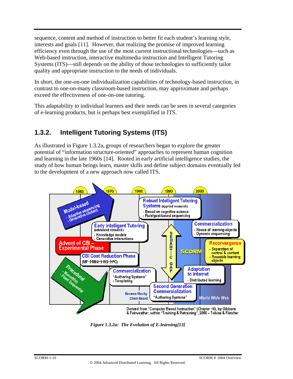sequence, content and method of instruction to better fit each student's learning style, interests and goals [11]. However, that realizing the promise of improved learning efficiency even through the use of the most current instructional technologies—such as Web-based instruction, interactive multimedia instruction and Intelligent Tutoring Systems (ITS)—still depends on the ability of those technologies to sufficiently tailor quality and appropriate instruction to the needs of individuals.

In short, the one-on-one individualization capabilities of technology-based instruction, in contrast to one-on-many classroom-based instruction, may approximate and perhaps exceed the effectiveness of one-on-one tutoring.

This adaptability to individual learners and their needs can be seen in several categories of e-learning products, but is perhaps best exemplified in ITS.

### **1.3.2. Intelligent Tutoring Systems (ITS)**

As illustrated in Figure 1.3.2a, groups of researchers began to explore the greater potential of "information structure-oriented" approaches to represent human cognition and learning in the late 1960s [14]. Rooted in early artificial intelligence studies, the study of how human beings learn, master skills and define subject domains eventually led to the development of a new approach now called ITS.



*Figure 1.3.2a: The Evolution of E-learning[13]*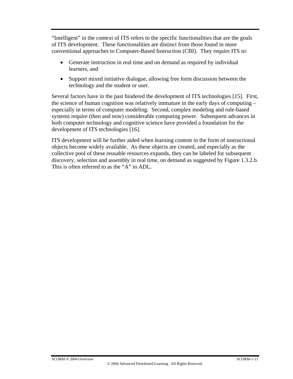"Intelligent" in the context of ITS refers to the specific functionalities that are the goals of ITS development. These functionalities are distinct from those found in more conventional approaches to Computer-Based Instruction (CBI). They require ITS to:

- Generate instruction in real time and on demand as required by individual learners, and
- Support mixed initiative dialogue, allowing free form discussion between the technology and the student or user.

Several factors have in the past hindered the development of ITS technologies [15]. First, the science of human cognition was relatively immature in the early days of computing – especially in terms of computer modeling. Second, complex modeling and rule-based systems require (then and now) considerable computing power. Subsequent advances in both computer technology and cognitive science have provided a foundation for the development of ITS technologies [16].

ITS development will be further aided when learning content in the form of instructional objects become widely available. As these objects are created, and especially as the collective pool of these reusable resources expands, they can be labeled for subsequent discovery, selection and assembly in real time, on demand as suggested by Figure 1.3.2.b. This is often referred to as the "A" in ADL.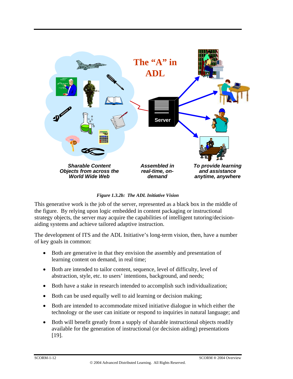

*Figure 1.3.2b: The ADL Initiative Vision*

This generative work is the job of the server, represented as a black box in the middle of the figure. By relying upon logic embedded in content packaging or instructional strategy objects, the server may acquire the capabilities of intelligent tutoring/decisionaiding systems and achieve tailored adaptive instruction.

The development of ITS and the ADL Initiative's long-term vision, then, have a number of key goals in common:

- Both are generative in that they envision the assembly and presentation of learning content on demand, in real time;
- Both are intended to tailor content, sequence, level of difficulty, level of abstraction, style, etc. to users' intentions, background, and needs;
- Both have a stake in research intended to accomplish such individualization;
- Both can be used equally well to aid learning or decision making;
- Both are intended to accommodate mixed initiative dialogue in which either the technology or the user can initiate or respond to inquiries in natural language; and
- Both will benefit greatly from a supply of sharable instructional objects readily available for the generation of instructional (or decision aiding) presentations [19].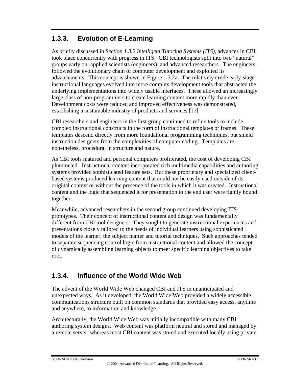#### **1.3.3. Evolution of E-Learning**

As briefly discussed in *Section 1.3.2 Intelligent Tutoring Systems (ITS)*, advances in CBI took place concurrently with progress in ITS. CBI technologists split into two "natural" groups early on: applied scientists (engineers), and advanced researchers. The engineers followed the evolutionary chain of computer development and exploited its advancements. This concept is shown in Figure 1.3.2a. The relatively crude early-stage instructional languages evolved into more complex development tools that abstracted the underlying implementations into widely usable interfaces. These allowed an increasingly large class of non-programmers to create learning content more rapidly than ever. Development costs were reduced and improved effectiveness was demonstrated, establishing a sustainable industry of products and services [17].

CBI researchers and engineers in the first group continued to refine tools to include complex instructional constructs in the form of instructional templates or frames. These templates descend directly from more foundational programming techniques, but shield instruction designers from the complexities of computer coding. Templates are, nonetheless, procedural in structure and nature.

As CBI tools matured and personal computers proliferated, the cost of developing CBI plummeted. Instructional content incorporated rich multimedia capabilities and authoring systems provided sophisticated feature sets. But these proprietary and specialized clientbased systems produced learning content that could not be easily used outside of its original context or without the presence of the tools in which it was created. Instructional content and the logic that sequenced it for presentation to the end user were tightly bound together.

Meanwhile, advanced researchers in the second group continued developing ITS prototypes. Their concept of instructional content and design was fundamentally different from CBI tool designers. They sought to generate instructional experiences and presentations closely tailored to the needs of individual learners using sophisticated models of the learner, the subject matter and tutorial techniques. Such approaches tended to separate sequencing control logic from instructional content and allowed the concept of dynamically assembling learning objects to meet specific learning objectives to take root.

#### **1.3.4. Influence of the World Wide Web**

The advent of the World Wide Web changed CBI and ITS in unanticipated and unexpected ways. As it developed, the World Wide Web provided a widely accessible communications structure built on common standards that provided easy access, anytime and anywhere, to information and knowledge.

Architecturally, the World Wide Web was initially incompatible with many CBI authoring system designs. Web content was platform neutral and stored and managed by a remote server, whereas most CBI content was stored and executed locally using private

SCORM ® 2004 Overview SCORM-1-13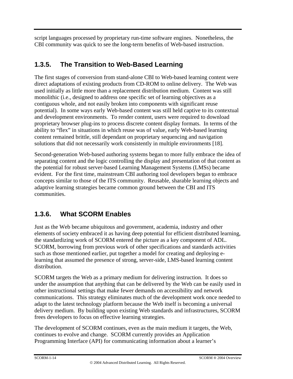script languages processed by proprietary run-time software engines. Nonetheless, the CBI community was quick to see the long-term benefits of Web-based instruction.

### **1.3.5. The Transition to Web-Based Learning**

The first stages of conversion from stand-alone CBI to Web-based learning content were direct adaptations of existing products from CD-ROM to online delivery. The Web was used initially as little more than a replacement distribution medium. Content was still monolithic (i.e., designed to address one specific set of learning objectives as a contiguous whole, and not easily broken into components with significant reuse potential). In some ways early Web-based content was still held captive to its contextual and development environments. To render content, users were required to download proprietary browser plug-ins to process discrete content display formats. In terms of the ability to "flex" in situations in which reuse was of value, early Web-based learning content remained brittle, still dependant on proprietary sequencing and navigation solutions that did not necessarily work consistently in multiple environments [18].

Second-generation Web-based authoring systems began to more fully embrace the idea of separating content and the logic controlling the display and presentation of that content as the potential for robust server-based Learning Management Systems (LMSs) became evident. For the first time, mainstream CBI authoring tool developers began to embrace concepts similar to those of the ITS community. Reusable, sharable learning objects and adaptive learning strategies became common ground between the CBI and ITS communities.

### **1.3.6. What SCORM Enables**

Just as the Web became ubiquitous and government, academia, industry and other elements of society embraced it as having deep potential for efficient distributed learning, the standardizing work of SCORM entered the picture as a key component of ADL. SCORM, borrowing from previous work of other specifications and standards activities such as those mentioned earlier, put together a model for creating and deploying elearning that assumed the presence of strong, server-side, LMS-based learning content distribution.

SCORM targets the Web as a primary medium for delivering instruction. It does so under the assumption that anything that can be delivered by the Web can be easily used in other instructional settings that make fewer demands on accessibility and network communications. This strategy eliminates much of the development work once needed to adapt to the latest technology platform because the Web itself is becoming a universal delivery medium. By building upon existing Web standards and infrastructures, SCORM frees developers to focus on effective learning strategies.

The development of SCORM continues, even as the main medium it targets, the Web, continues to evolve and change. SCORM currently provides an Application Programming Interface (API) for communicating information about a learner's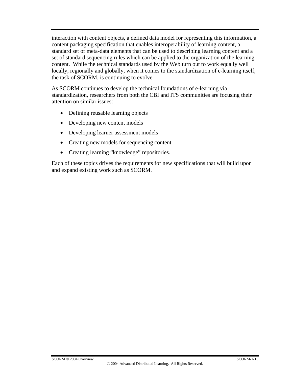interaction with content objects, a defined data model for representing this information, a content packaging specification that enables interoperability of learning content, a standard set of meta-data elements that can be used to describing learning content and a set of standard sequencing rules which can be applied to the organization of the learning content. While the technical standards used by the Web turn out to work equally well locally, regionally and globally, when it comes to the standardization of e-learning itself, the task of SCORM, is continuing to evolve.

As SCORM continues to develop the technical foundations of e-learning via standardization, researchers from both the CBI and ITS communities are focusing their attention on similar issues:

- Defining reusable learning objects
- Developing new content models
- Developing learner assessment models
- Creating new models for sequencing content
- Creating learning "knowledge" repositories.

Each of these topics drives the requirements for new specifications that will build upon and expand existing work such as SCORM.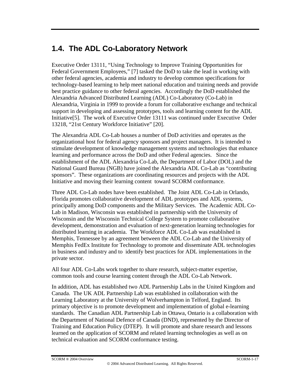# **1.4. The ADL Co-Laboratory Network**

Executive Order 13111, "Using Technology to Improve Training Opportunities for Federal Government Employees," [7] tasked the DoD to take the lead in working with other federal agencies, academia and industry to develop common specifications for technology-based learning to help meet national education and training needs and provide best practice guidance to other federal agencies. Accordingly the DoD established the Alexandria Advanced Distributed Learning (ADL) Co-Laboratory (Co-Lab) in Alexandria, Virginia in 1999 to provide a forum for collaborative exchange and technical support in developing and assessing prototypes, tools and learning content for the ADL Initiative[5]. The work of Executive Order 13111 was continued under Executive Order 13218, "21st Century Workforce Initiative" [20].

The Alexandria ADL Co-Lab houses a number of DoD activities and operates as the organizational host for federal agency sponsors and project managers. It is intended to stimulate development of knowledge management systems and technologies that enhance learning and performance across the DoD and other Federal agencies. Since the establishment of the ADL Alexandria Co-Lab, the Department of Labor (DOL) and the National Guard Bureau (NGB) have joined the Alexandria ADL Co-Lab as "contributing sponsors". These organizations are coordinating resources and projects with the ADL Initiative and moving their learning content toward SCORM conformance.

Three ADL Co-Lab nodes have been established. The Joint ADL Co-Lab in Orlando, Florida promotes collaborative development of ADL prototypes and ADL systems, principally among DoD components and the Military Services. The Academic ADL Co-Lab in Madison, Wisconsin was established in partnership with the University of Wisconsin and the Wisconsin Technical College System to promote collaborative development, demonstration and evaluation of next-generation learning technologies for distributed learning in academia. The Workforce ADL Co-Lab was established in Memphis, Tennessee by an agreement between the ADL Co-Lab and the University of Memphis FedEx Institute for Technology to promote and disseminate ADL technologies in business and industry and to identify best practices for ADL implementations in the private sector.

All four ADL Co-Labs work together to share research, subject-matter expertise, common tools and course learning content through the ADL Co-Lab Network.

In addition, ADL has established two ADL Partnership Labs in the United Kingdom and Canada. The UK ADL Partnership Lab was established in collaboration with the Learning Laboratory at the University of Wolverhampton in Telford, England. Its primary objective is to promote development and implementation of global e-learning standards. The Canadian ADL Partnership Lab in Ottawa, Ontario is a collaboration with the Department of National Defence of Canada (DND), represented by the Director of Training and Education Policy (DTEP). It will promote and share research and lessons learned on the application of SCORM and related learning technologies as well as on technical evaluation and SCORM conformance testing.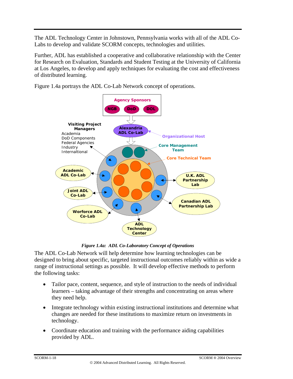The ADL Technology Center in Johnstown, Pennsylvania works with all of the ADL Co-Labs to develop and validate SCORM concepts, technologies and utilities.

Further, ADL has established a cooperative and collaborative relationship with the Center for Research on Evaluation, Standards and Student Testing at the University of California at Los Angeles, to develop and apply techniques for evaluating the cost and effectiveness of distributed learning.

Figure 1.4a portrays the ADL Co-Lab Network concept of operations.



*Figure 1.4a: ADL Co-Laboratory Concept of Operations*

The ADL Co-Lab Network will help determine how learning technologies can be designed to bring about specific, targeted instructional outcomes reliably within as wide a range of instructional settings as possible. It will develop effective methods to perform the following tasks:

- Tailor pace, content, sequence, and style of instruction to the needs of individual learners – taking advantage of their strengths and concentrating on areas where they need help.
- Integrate technology within existing instructional institutions and determine what changes are needed for these institutions to maximize return on investments in technology.
- Coordinate education and training with the performance aiding capabilities provided by ADL.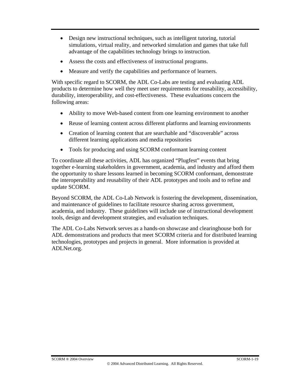- Design new instructional techniques, such as intelligent tutoring, tutorial simulations, virtual reality, and networked simulation and games that take full advantage of the capabilities technology brings to instruction.
- Assess the costs and effectiveness of instructional programs.
- Measure and verify the capabilities and performance of learners.

With specific regard to SCORM, the ADL Co-Labs are testing and evaluating ADL products to determine how well they meet user requirements for reusability, accessibility, durability, interoperability, and cost-effectiveness. These evaluations concern the following areas:

- Ability to move Web-based content from one learning environment to another
- Reuse of learning content across different platforms and learning environments
- Creation of learning content that are searchable and "discoverable" across different learning applications and media repositories
- Tools for producing and using SCORM conformant learning content

To coordinate all these activities, ADL has organized "Plugfest" events that bring together e-learning stakeholders in government, academia, and industry and afford them the opportunity to share lessons learned in becoming SCORM conformant, demonstrate the interoperability and reusability of their ADL prototypes and tools and to refine and update SCORM.

Beyond SCORM, the ADL Co-Lab Network is fostering the development, dissemination, and maintenance of guidelines to facilitate resource sharing across government, academia, and industry. These guidelines will include use of instructional development tools, design and development strategies, and evaluation techniques.

The ADL Co-Labs Network serves as a hands-on showcase and clearinghouse both for ADL demonstrations and products that meet SCORM criteria and for distributed learning technologies, prototypes and projects in general. More information is provided at ADLNet.org.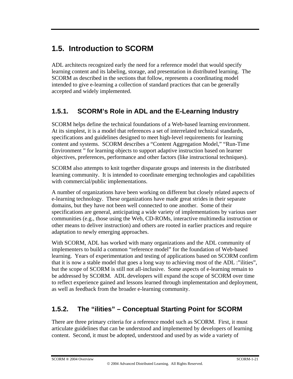# **1.5. Introduction to SCORM**

ADL architects recognized early the need for a reference model that would specify learning content and its labeling, storage, and presentation in distributed learning. The SCORM as described in the sections that follow, represents a coordinating model intended to give e-learning a collection of standard practices that can be generally accepted and widely implemented.

### **1.5.1. SCORM's Role in ADL and the E-Learning Industry**

SCORM helps define the technical foundations of a Web-based learning environment. At its simplest, it is a model that references a set of interrelated technical standards, specifications and guidelines designed to meet high-level requirements for learning content and systems. SCORM describes a "Content Aggregation Model," "Run-Time Environment " for learning objects to support adaptive instruction based on learner objectives, preferences, performance and other factors (like instructional techniques).

SCORM also attempts to knit together disparate groups and interests in the distributed learning community. It is intended to coordinate emerging technologies and capabilities with commercial/public implementations.

A number of organizations have been working on different but closely related aspects of e-learning technology. These organizations have made great strides in their separate domains, but they have not been well connected to one another. Some of their specifications are general, anticipating a wide variety of implementations by various user communities (e.g., those using the Web, CD-ROMs, interactive multimedia instruction or other means to deliver instruction) and others are rooted in earlier practices and require adaptation to newly emerging approaches.

With SCORM, ADL has worked with many organizations and the ADL community of implementers to build a common "reference model" for the foundation of Web-based learning. Years of experimentation and testing of applications based on SCORM confirm that it is now a stable model that goes a long way to achieving most of the ADL :"ilities", but the scope of SCORM is still not all-inclusive. Some aspects of e-learning remain to be addressed by SCORM. ADL developers will expand the scope of SCORM over time to reflect experience gained and lessons learned through implementation and deployment, as well as feedback from the broader e-learning community.

### **1.5.2. The "ilities" – Conceptual Starting Point for SCORM**

There are three primary criteria for a reference model such as SCORM. First, it must articulate guidelines that can be understood and implemented by developers of learning content. Second, it must be adopted, understood and used by as wide a variety of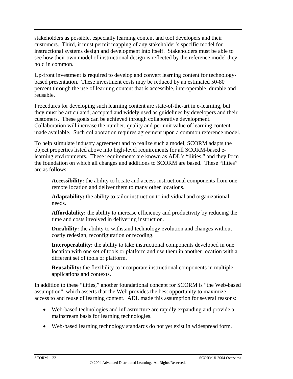stakeholders as possible, especially learning content and tool developers and their customers. Third, it must permit mapping of any stakeholder's specific model for instructional systems design and development into itself. Stakeholders must be able to see how their own model of instructional design is reflected by the reference model they hold in common.

Up-front investment is required to develop and convert learning content for technologybased presentation. These investment costs may be reduced by an estimated 50-80 percent through the use of learning content that is accessible, interoperable, durable and reusable.

Procedures for developing such learning content are state-of-the-art in e-learning, but they must be articulated, accepted and widely used as guidelines by developers and their customers. These goals can be achieved through collaborative development. Collaboration will increase the number, quality and per unit value of learning content made available. Such collaboration requires agreement upon a common reference model.

To help stimulate industry agreement and to realize such a model, SCORM adapts the object properties listed above into high-level requirements for all SCORM-based elearning environments. These requirements are known as ADL's "ilities," and they form the foundation on which all changes and additions to SCORM are based. These "ilities" are as follows:

**Accessibility:** the ability to locate and access instructional components from one remote location and deliver them to many other locations.

**Adaptability:** the ability to tailor instruction to individual and organizational needs.

**Affordability:** the ability to increase efficiency and productivity by reducing the time and costs involved in delivering instruction.

**Durability:** the ability to withstand technology evolution and changes without costly redesign, reconfiguration or recoding.

**Interoperability:** the ability to take instructional components developed in one location with one set of tools or platform and use them in another location with a different set of tools or platform.

**Reusability:** the flexibility to incorporate instructional components in multiple applications and contexts.

In addition to these "ilities," another foundational concept for SCORM is "the Web-based assumption", which asserts that the Web provides the best opportunity to maximize access to and reuse of learning content. ADL made this assumption for several reasons:

- Web-based technologies and infrastructure are rapidly expanding and provide a mainstream basis for learning technologies.
- Web-based learning technology standards do not yet exist in widespread form.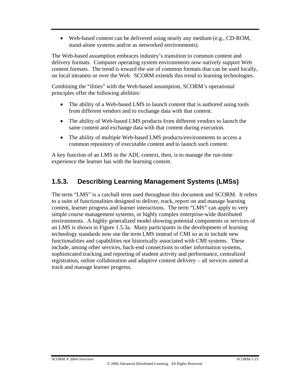• Web-based content can be delivered using nearly any medium (e.g., CD-ROM, stand-alone systems and/or as networked environments).

The Web-based assumption embraces industry's transition to common content and delivery formats. Computer operating system environments now natively support Web content formats. The trend is toward the use of common formats that can be used locally, on local intranets or over the Web. SCORM extends this trend to learning technologies.

Combining the "ilities" with the Web-based assumption, SCORM's operational principles offer the following abilities:

- The ability of a Web-based LMS to launch content that is authored using tools from different vendors and to exchange data with that content.
- The ability of Web-based LMS products from different vendors to launch the same content and exchange data with that content during execution.
- The ability of multiple Web-based LMS products/environments to access a common repository of executable content and to launch such content.

A key function of an LMS in the ADL context, then, is to manage the run-time experience the learner has with the learning content.

### **1.5.3. Describing Learning Management Systems (LMSs)**

The term "LMS" is a catchall term used throughout this document and SCORM. It refers to a suite of functionalities designed to deliver, track, report on and manage learning content, learner progress and learner interactions. The term "LMS" can apply to very simple course management systems, or highly complex enterprise-wide distributed environments. A highly generalized model showing potential components or services of an LMS is shown in Figure 1.5.3a. Many participants in the development of learning technology standards now use the term LMS instead of CMI so as to include new functionalities and capabilities not historically associated with CMI systems. These include, among other services, back-end connections to other information systems, sophisticated tracking and reporting of student activity and performance, centralized registration, online collaboration and adaptive content delivery – all services aimed at track and manage learner progress.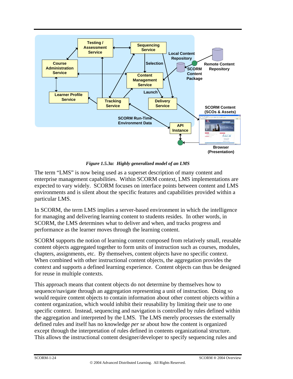

*Figure 1.5.3a: Highly generalized model of an LMS* 

The term "LMS" is now being used as a superset description of many content and enterprise management capabilities. Within SCORM context, LMS implementations are expected to vary widely. SCORM focuses on interface points between content and LMS environments and is silent about the specific features and capabilities provided within a particular LMS.

In SCORM, the term LMS implies a server-based environment in which the intelligence for managing and delivering learning content to students resides. In other words, in SCORM, the LMS determines what to deliver and when, and tracks progress and performance as the learner moves through the learning content.

SCORM supports the notion of learning content composed from relatively small, reusable content objects aggregated together to form units of instruction such as courses, modules, chapters, assignments, etc. By themselves, content objects have no specific context. When combined with other instructional content objects, the aggregation provides the context and supports a defined learning experience. Content objects can thus be designed for reuse in multiple contexts.

This approach means that content objects do not determine by themselves how to sequence/navigate through an aggregation representing a unit of instruction. Doing so would require content objects to contain information about other content objects within a content organization, which would inhibit their reusability by limiting their use to one specific context. Instead, sequencing and navigation is controlled by rules defined within the aggregation and interpreted by the LMS. The LMS merely processes the externally defined rules and itself has no knowledge *per se* about how the content is organized except through the interpretation of rules defined in contents organizational structure. This allows the instructional content designer/developer to specify sequencing rules and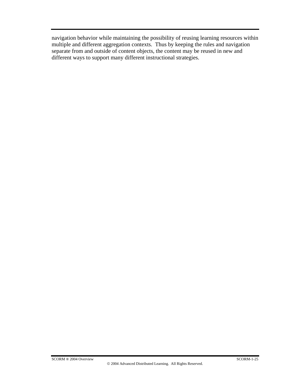navigation behavior while maintaining the possibility of reusing learning resources within multiple and different aggregation contexts. Thus by keeping the rules and navigation separate from and outside of content objects, the content may be reused in new and different ways to support many different instructional strategies.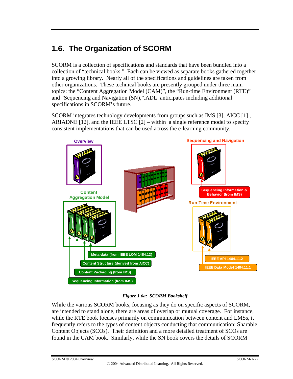# **1.6. The Organization of SCORM**

SCORM is a collection of specifications and standards that have been bundled into a collection of "technical books." Each can be viewed as separate books gathered together into a growing library. Nearly all of the specifications and guidelines are taken from other organizations. These technical books are presently grouped under three main topics: the "Content Aggregation Model (CAM)", the "Run-time Environment (RTE)" and "Sequencing and Navigation (SN),".ADL anticipates including additional specifications in SCORM's future.

SCORM integrates technology developments from groups such as IMS [3], AICC [1] , ARIADNE [12], and the IEEE LTSC  $[2]$  – within a single reference model to specify consistent implementations that can be used across the e-learning community.



#### *Figure 1.6a: SCORM Bookshelf*

While the various SCORM books, focusing as they do on specific aspects of SCORM, are intended to stand alone, there are areas of overlap or mutual coverage. For instance, while the RTE book focuses primarily on communication between content and LMSs, it frequently refers to the types of content objects conducting that communication: Sharable Content Objects (SCOs). Their definition and a more detailed treatment of SCOs are found in the CAM book. Similarly, while the SN book covers the details of SCORM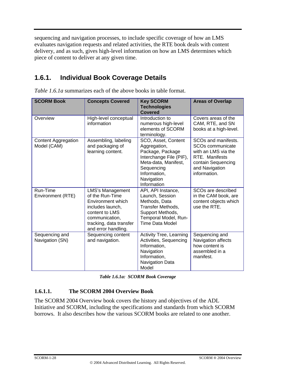sequencing and navigation processes, to include specific coverage of how an LMS evaluates navigation requests and related activities, the RTE book deals with content delivery, and as such, gives high-level information on how an LMS determines which piece of content to deliver at any given time.

#### **1.6.1. Individual Book Coverage Details**

| <b>SCORM Book</b>                         | <b>Concepts Covered</b>                                                                                                                                                   | <b>Key SCORM</b><br><b>Technologies</b><br>Covered                                                                                                                    | <b>Areas of Overlap</b>                                                                                                                              |
|-------------------------------------------|---------------------------------------------------------------------------------------------------------------------------------------------------------------------------|-----------------------------------------------------------------------------------------------------------------------------------------------------------------------|------------------------------------------------------------------------------------------------------------------------------------------------------|
| Overview                                  | High-level conceptual<br>information                                                                                                                                      | Introduction to<br>numerous high-level<br>elements of SCORM<br>terminology.                                                                                           | Covers areas of the<br>CAM, RTE, and SN<br>books at a high-level.                                                                                    |
| <b>Content Aggregation</b><br>Model (CAM) | Assembling, labeling<br>and packaging of<br>learning content.                                                                                                             | SCO, Asset, Content<br>Aggregation,<br>Package, Package<br>Interchange File (PIF),<br>Meta-data, Manifest,<br>Sequencing<br>Information,<br>Navigation<br>Information | SCOs and manifests.<br>SCO <sub>s</sub> communicate<br>with an LMS via the<br>RTE. Manifests<br>contain Sequencing<br>and Navigation<br>information. |
| Run-Time<br>Environment (RTE)             | <b>LMS's Management</b><br>of the Run-Time<br>Environment which<br>includes launch,<br>content to LMS<br>communication,<br>tracking, data transfer<br>and error handling. | API, API Instance,<br>Launch, Session<br>Methods, Data<br>Transfer Methods,<br>Support Methods,<br>Temporal Model, Run-<br>Time Data Model                            | SCO <sub>s</sub> are described<br>in the CAM book, are<br>content objects which<br>use the RTE.                                                      |
| Sequencing and<br>Navigation (SN)         | Sequencing content<br>and navigation.                                                                                                                                     | <b>Activity Tree, Learning</b><br>Activities, Sequencing<br>Information,<br>Navigation<br>Information,<br>Navigation Data<br>Model                                    | Sequencing and<br>Navigation affects<br>how content is<br>assembled in a<br>manifest.                                                                |

*Table 1.6.1a* summarizes each of the above books in table format.

*Table 1.6.1a: SCORM Book Coverage*

#### **1.6.1.1. The SCORM 2004 Overview Book**

The SCORM 2004 Overview book covers the history and objectives of the ADL Initiative and SCORM, including the specifications and standards from which SCORM borrows. It also describes how the various SCORM books are related to one another.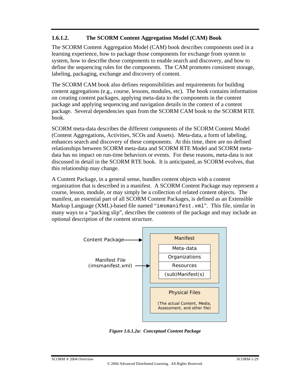#### **1.6.1.2. The SCORM Content Aggregation Model (CAM) Book**

The SCORM Content Aggregation Model (CAM) book describes components used in a learning experience, how to package those components for exchange from system to system, how to describe those components to enable search and discovery, and how to define the sequencing rules for the components. The CAM promotes consistent storage, labeling, packaging, exchange and discovery of content.

The SCORM CAM book also defines responsibilities and requirements for building content aggregations (e.g., course, lessons, modules, etc). The book contains information on creating content packages, applying meta-data to the components in the content package and applying sequencing and navigation details in the context of a content package. Several dependencies span from the SCORM CAM book to the SCORM RTE book.

SCORM meta-data describes the different components of the SCORM Content Model (Content Aggregations, Activities, SCOs and Assets). Meta-data, a form of labeling, enhances search and discovery of these components. At this time, there are no defined relationships between SCORM meta-data and SCORM RTE Model and SCORM metadata has no impact on run-time behaviors or events. For these reasons, meta-data is not discussed in detail in the SCORM RTE book. It is anticipated, as SCORM evolves, that this relationship may change.

A Content Package, in a general sense, bundles content objects with a content organization that is described in a manifest. A SCORM Content Package may represent a course, lesson, module, or may simply be a collection of related content objects. The manifest, an essential part of all SCORM Content Packages, is defined as an Extensible Markup Language (XML)-based file named "imsmanifest.xml". This file, similar in many ways to a "packing slip", describes the contents of the package and may include an optional description of the content structure.



*Figure 1.6.1.2a: Conceptual Content Package*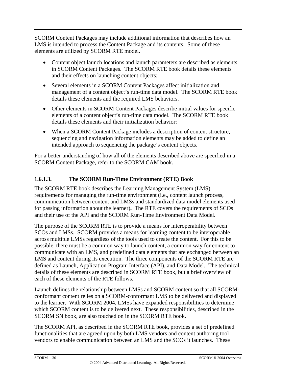SCORM Content Packages may include additional information that describes how an LMS is intended to process the Content Package and its contents. Some of these elements are utilized by SCORM RTE model.

- Content object launch locations and launch parameters are described as elements in SCORM Content Packages. The SCORM RTE book details these elements and their effects on launching content objects;
- Several elements in a SCORM Content Packages affect initialization and management of a content object's run-time data model. The SCORM RTE book details these elements and the required LMS behaviors.
- Other elements in SCORM Content Packages describe initial values for specific elements of a content object's run-time data model. The SCORM RTE book details these elements and their initialization behavior:
- When a SCORM Content Package includes a description of content structure, sequencing and navigation information elements may be added to define an intended approach to sequencing the package's content objects.

For a better understanding of how all of the elements described above are specified in a SCORM Content Package, refer to the SCORM CAM book.

#### **1.6.1.3. The SCORM Run-Time Environment (RTE) Book**

The SCORM RTE book describes the Learning Management System (LMS) requirements for managing the run-time environment (i.e., content launch process, communication between content and LMSs and standardized data model elements used for passing information about the learner)**.** The RTE covers the requirements of SCOs and their use of the API and the SCORM Run-Time Environment Data Model.

The purpose of the SCORM RTE is to provide a means for interoperability between SCOs and LMSs. SCORM provides a means for learning content to be interoperable across multiple LMSs regardless of the tools used to create the content. For this to be possible, there must be a common way to launch content, a common way for content to communicate with an LMS, and predefined data elements that are exchanged between an LMS and content during its execution. The three components of the SCORM RTE are defined as Launch, Application Program Interface (API), and Data Model. The technical details of these elements are described in SCORM RTE book, but a brief overview of each of these elements of the RTE follows.

Launch defines the relationship between LMSs and SCORM content so that all SCORMconformant content relies on a SCORM-conformant LMS to be delivered and displayed to the learner. With SCORM 2004, LMSs have expanded responsibilities to determine which SCORM content is to be delivered next. These responsibilities, described in the SCORM SN book, are also touched on in the SCORM RTE book.

The SCORM API, as described in the SCORM RTE book, provides a set of predefined functionalities that are agreed upon by both LMS vendors and content authoring tool vendors to enable communication between an LMS and the SCOs it launches. These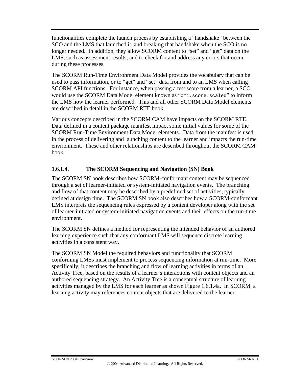functionalities complete the launch process by establishing a "handshake" between the SCO and the LMS that launched it, and breaking that handshake when the SCO is no longer needed. In addition, they allow SCORM content to "set" and "get" data on the LMS, such as assessment results, and to check for and address any errors that occur during these processes.

The SCORM Run-Time Environment Data Model provides the vocabulary that can be used to pass information, or to "get" and "set" data from and to an LMS when calling SCORM API functions. For instance, when passing a test score from a learner, a SCO would use the SCORM Data Model element known as "cmi.score.scaled" to inform the LMS how the learner performed. This and all other SCORM Data Model elements are described in detail in the SCORM RTE book.

Various concepts described in the SCORM CAM have impacts on the SCORM RTE. Data defined in a content package manifest impact some initial values for some of the SCORM Run-Time Environment Data Model elements. Data from the manifest is used in the process of delivering and launching content to the learner and impacts the run-time environment. These and other relationships are described throughout the SCORM CAM book.

#### **1.6.1.4. The SCORM Sequencing and Navigation (SN) Book**

The SCORM SN book describes how SCORM-conformant content may be sequenced through a set of learner-initiated or system-initiated navigation events. The branching and flow of that content may be described by a predefined set of activities, typically defined at design time. The SCORM SN book also describes how a SCORM-conformant LMS interprets the sequencing rules expressed by a content developer along with the set of learner-initiated or system-initiated navigation events and their effects on the run-time environment.

The SCORM SN defines a method for representing the intended behavior of an authored learning experience such that any conformant LMS will sequence discrete learning activities in a consistent way.

The SCORM SN Model the required behaviors and functionality that SCORM conforming LMSs must implement to process sequencing information at run-time. More specifically, it describes the branching and flow of learning activities in terms of an Activity Tree, based on the results of a learner's interactions with content objects and an authored sequencing strategy. An Activity Tree is a conceptual structure of learning activities managed by the LMS for each learner as shown Figure 1.6.1.4a. In SCORM, a learning activity may references content objects that are delivered to the learner.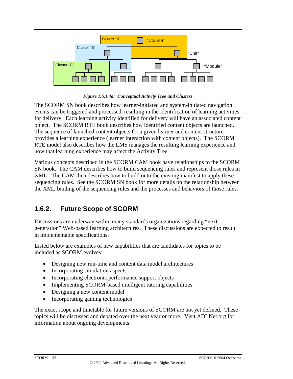

*Figure 1.6.1.4a: Conceptual Activity Tree and Clusters* 

The SCORM SN book describes how learner-initiated and system-initiated navigation events can be triggered and processed, resulting in the identification of learning activities for delivery. Each learning activity identified for delivery will have an associated content object. The SCORM RTE book describes how identified content objects are launched. The sequence of launched content objects for a given learner and content structure provides a learning experience (learner interaction with content objects). The SCORM RTE model also describes how the LMS manages the resulting learning experience and how that learning experience may affect the Activity Tree.

Various concepts described in the SCORM CAM book have relationships to the SCORM SN book. The CAM describes how to build sequencing rules and represent those rules in XML. The CAM then describes how to build onto the existing manifest to apply these sequencing rules. See the SCORM SN book for more details on the relationship between the XML binding of the sequencing rules and the processes and behaviors of those rules.

### **1.6.2. Future Scope of SCORM**

Discussions are underway within many standards organizations regarding "next generation" Web-based learning architectures. These discussions are expected to result in implementable specifications.

Listed below are examples of new capabilities that are candidates for topics to be included as SCORM evolves:

- Designing new run-time and content data model architectures
- Incorporating simulation aspects
- Incorporating electronic performance support objects
- Implementing SCORM-based intelligent tutoring capabilities
- Designing a new content model
- Incorporating gaming technologies

The exact scope and timetable for future versions of SCORM are not yet defined. These topics will be discussed and debated over the next year or more. Visit ADLNet.org for information about ongoing developments.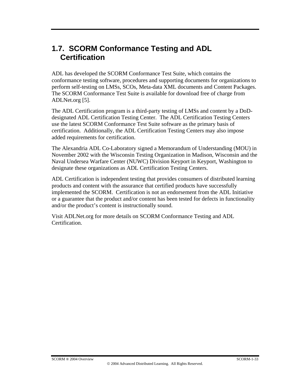## **1.7. SCORM Conformance Testing and ADL Certification**

ADL has developed the SCORM Conformance Test Suite, which contains the conformance testing software, procedures and supporting documents for organizations to perform self-testing on LMSs, SCOs, Meta-data XML documents and Content Packages. The SCORM Conformance Test Suite is available for download free of charge from ADLNet.org [5].

The ADL Certification program is a third-party testing of LMSs and content by a DoDdesignated ADL Certification Testing Center. The ADL Certification Testing Centers use the latest SCORM Conformance Test Suite software as the primary basis of certification. Additionally, the ADL Certification Testing Centers may also impose added requirements for certification.

The Alexandria ADL Co-Laboratory signed a Memorandum of Understanding (MOU) in November 2002 with the Wisconsin Testing Organization in Madison, Wisconsin and the Naval Undersea Warfare Center (NUWC) Division Keyport in Keyport, Washington to designate these organizations as ADL Certification Testing Centers.

ADL Certification is independent testing that provides consumers of distributed learning products and content with the assurance that certified products have successfully implemented the SCORM. Certification is not an endorsement from the ADL Initiative or a guarantee that the product and/or content has been tested for defects in functionality and/or the product's content is instructionally sound.

Visit ADLNet.org for more details on SCORM Conformance Testing and ADL **Certification**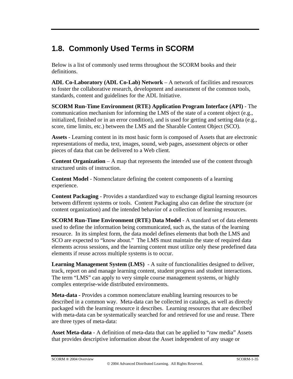# **1.8. Commonly Used Terms in SCORM**

Below is a list of commonly used terms throughout the SCORM books and their definitions.

**ADL Co-Laboratory (ADL Co-Lab) Network** – A network of facilities and resources to foster the collaborative research, development and assessment of the common tools, standards, content and guidelines for the ADL Initiative.

**SCORM Run-Time Environment (RTE) Application Program Interface (API)** - The communication mechanism for informing the LMS of the state of a content object (e.g., initialized, finished or in an error condition), and is used for getting and setting data (e.g., score, time limits, etc.) between the LMS and the Sharable Content Object (SCO).

**Assets** - Learning content in its most basic form is composed of Assets that are electronic representations of media, text, images, sound, web pages, assessment objects or other pieces of data that can be delivered to a Web client.

**Content Organization** – A map that represents the intended use of the content through structured units of instruction.

**Content Model** - Nomenclature defining the content components of a learning experience.

**Content Packaging** - Provides a standardized way to exchange digital learning resources between different systems or tools. Content Packaging also can define the structure (or content organization) and the intended behavior of a collection of learning resources.

**SCORM Run-Time Environment (RTE) Data Model** - A standard set of data elements used to define the information being communicated, such as, the status of the learning resource. In its simplest form, the data model defines elements that both the LMS and SCO are expected to "know about." The LMS must maintain the state of required data elements across sessions, and the learning content must utilize only these predefined data elements if reuse across multiple systems is to occur.

**Learning Management System (LMS)** - A suite of functionalities designed to deliver, track, report on and manage learning content, student progress and student interactions. The term "LMS" can apply to very simple course management systems, or highly complex enterprise-wide distributed environments.

**Meta-data -** Provides a common nomenclature enabling learning resources to be described in a common way. Meta-data can be collected in catalogs, as well as directly packaged with the learning resource it describes. Learning resources that are described with meta-data can be systematically searched for and retrieved for use and reuse. There are three types of meta-data:

**Asset Meta-data** - A definition of meta-data that can be applied to "raw media" Assets that provides descriptive information about the Asset independent of any usage or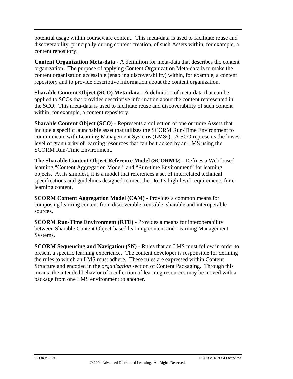potential usage within courseware content. This meta-data is used to facilitate reuse and discoverability, principally during content creation*,* of such Assets within, for example, a content repository.

**Content Organization Meta-data** - A definition for meta-data that describes the content organization. The purpose of applying Content Organization Meta-data is to make the content organization accessible (enabling discoverability) within, for example, a content repository and to provide descriptive information about the content organization.

**Sharable Content Object (SCO) Meta-data** - A definition of meta-data that can be applied to SCOs that provides descriptive information about the content represented in the SCO. This meta-data is used to facilitate reuse and discoverability of such content within, for example, a content repository.

**Sharable Content Object (SCO)** - Represents a collection of one or more Assets that include a specific launchable asset that utilizes the SCORM Run-Time Environment to communicate with Learning Management Systems (LMSs). A SCO represents the lowest level of granularity of learning resources that can be tracked by an LMS using the SCORM Run-Time Environment.

**The Sharable Content Object Reference Model (SCORM®)** - Defines a Web-based learning "Content Aggregation Model" and "Run-time Environment" for learning objects. At its simplest, it is a model that references a set of interrelated technical specifications and guidelines designed to meet the DoD's high-level requirements for elearning content.

**SCORM Content Aggregation Model (CAM)** - Provides a common means for composing learning content from discoverable, reusable, sharable and interoperable sources.

**SCORM Run-Time Environment (RTE)** - Provides a means for interoperability between Sharable Content Object-based learning content and Learning Management Systems.

**SCORM Sequencing and Navigation (SN)** - Rules that an LMS must follow in order to present a specific learning experience. The content developer is responsible for defining the rules to which an LMS must adhere. These rules are expressed within Content Structure and encoded in the *organization* section of Content Packaging. Through this means, the intended behavior of a collection of learning resources may be moved with a package from one LMS environment to another.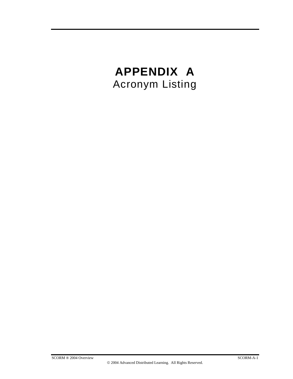# **APPENDIX A**  Acronym Listing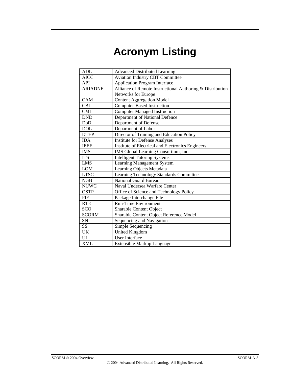# **Acronym Listing**

| <b>ADL</b>     | <b>Advanced Distributed Learning</b>                      |
|----------------|-----------------------------------------------------------|
| AICC           | <b>Aviation Industry CBT Committee</b>                    |
| API            |                                                           |
| <b>ARIADNE</b> | <b>Application Program Interface</b>                      |
|                | Alliance of Remote Instructional Authoring & Distribution |
|                | Networks for Europe                                       |
| CAM            | <b>Content Aggregation Model</b>                          |
| <b>CBI</b>     | <b>Computer-Based Instruction</b>                         |
| <b>CMI</b>     | <b>Computer Managed Instruction</b>                       |
| <b>DND</b>     | Department of National Defence                            |
| DoD            | Department of Defense                                     |
| <b>DOL</b>     | Department of Labor                                       |
| <b>DTEP</b>    | Director of Training and Education Policy                 |
| <b>IDA</b>     | <b>Institute for Defense Analyses</b>                     |
| <b>IEEE</b>    | Institute of Electrical and Electronics Engineers         |
| <b>IMS</b>     | IMS Global Learning Consortium, Inc.                      |
| <b>ITS</b>     | <b>Intelligent Tutoring Systems</b>                       |
| <b>LMS</b>     | Learning Management System                                |
| <b>LOM</b>     | Learning Objects Metadata                                 |
| <b>LTSC</b>    | Learning Technology Standards Committee                   |
| NGB            | <b>National Guard Bureau</b>                              |
| <b>NUWC</b>    | Naval Undersea Warfare Center                             |
| <b>OSTP</b>    | Office of Science and Technology Policy                   |
| PIF            | Package Interchange File                                  |
| <b>RTE</b>     | <b>Run-Time Environment</b>                               |
| <b>SCO</b>     | Sharable Content Object                                   |
| <b>SCORM</b>   | Sharable Content Object Reference Model                   |
| SN             | Sequencing and Navigation                                 |
| SS             | Simple Sequencing                                         |
| <b>UK</b>      | <b>United Kingdom</b>                                     |
| UI             | <b>User Interface</b>                                     |
| <b>XML</b>     | Extensible Markup Language                                |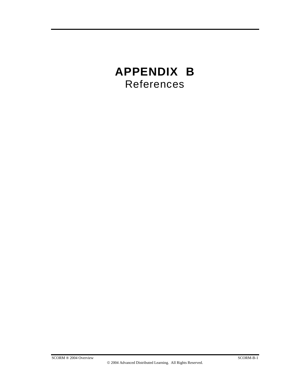# **APPENDIX B**  References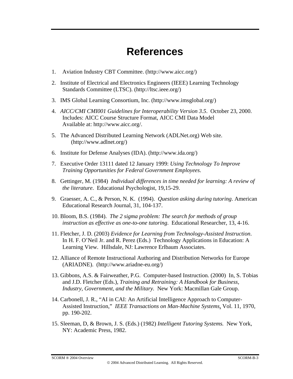# **References**

- 1. Aviation Industry CBT Committee. (http://www.aicc.org/)
- 2. Institute of Electrical and Electronics Engineers (IEEE) Learning Technology Standards Committee (LTSC). (http://ltsc.ieee.org/)
- 3. IMS Global Learning Consortium, Inc. (http://www.imsglobal.org/)
- 4. *AICC/CMI CMI001 Guidelines for Interoperability Version 3.5*. October 23, 2000. Includes: AICC Course Structure Format, AICC CMI Data Model Available at: http://www.aicc.org/.
- 5. The Advanced Distributed Learning Network (ADLNet.org) Web site. (http://www.adlnet.org/)
- 6. Institute for Defense Analyses (IDA). (http://www.ida.org/)
- 7. Executive Order 13111 dated 12 January 1999: *Using Technology To Improve Training Opportunities for Federal Government Employees*.
- 8. Gettinger, M. (1984) *Individual differences in time needed for learning: A review of the literature*. Educational Psychologist, 19,15-29.
- 9. Graesser, A. C., & Person, N. K. (1994). *Question asking during tutoring*. American Educational Research Journal, 31, 104-137.
- 10. Bloom, B.S. (1984). *The 2 sigma problem: The search for methods of group instruction as effective as one-to-one tutoring*. Educational Researcher, 13, 4-16.
- 11. Fletcher, J. D. (2003) *Evidence for Learning from Technology-Assisted Instruction*. In H. F. O'Neil Jr. and R. Perez (Eds.) Technology Applications in Education: A Learning View. Hillsdale, NJ: Lawrence Erlbaum Associates.
- 12. Alliance of Remote Instructional Authoring and Distribution Networks for Europe (ARIADNE). (http://www.ariadne-eu.org/)
- 13. Gibbons, A.S. & Fairweather, P.G. Computer-based Instruction. (2000) In, S. Tobias and J.D. Fletcher (Eds.), *Training and Retraining: A Handbook for Business, Industry, Government, and the Military.* New York: Macmillan Gale Group.
- 14. Carbonell, J. R., "AI in CAI: An Artificial Intelligence Approach to Computer-Assisted Instruction," *IEEE Transactions on Man-Machine Systems*, Vol. 11, 1970, pp. 190-202.
- 15. Sleeman, D, & Brown, J. S. (Eds.) (1982) *Intelligent Tutoring Systems.* New York, NY: Academic Press, 1982.

#### SCORM ® 2004 Overview SCORM-B-3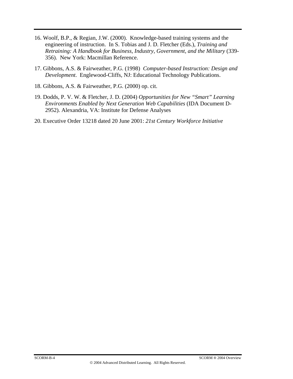- 16. Woolf, B.P., & Regian, J.W. (2000). Knowledge-based training systems and the engineering of instruction. In S. Tobias and J. D. Fletcher (Eds.), *Training and Retraining: A Handbook for Business, Industry, Government, and the Military* (339- 356). New York: Macmillan Reference.
- 17. Gibbons, A.S. & Fairweather, P.G. (1998) *Computer-based Instruction: Design and Development*. Englewood-Cliffs, NJ: Educational Technology Publications.
- 18. Gibbons, A.S. & Fairweather, P.G. (2000) op. cit.
- 19. Dodds, P. V. W. & Fletcher, J. D. (2004) *Opportunities for New "Smart" Learning Environments Enabled by Next Generation Web Capabilities* (IDA Document D-2952). Alexandria, VA: Institute for Defense Analyses
- 20. Executive Order 13218 dated 20 June 2001: *21st Century Workforce Initiative*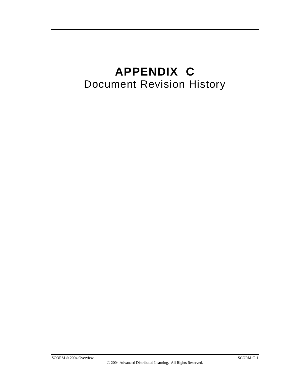# **APPENDIX C**  Document Revision History